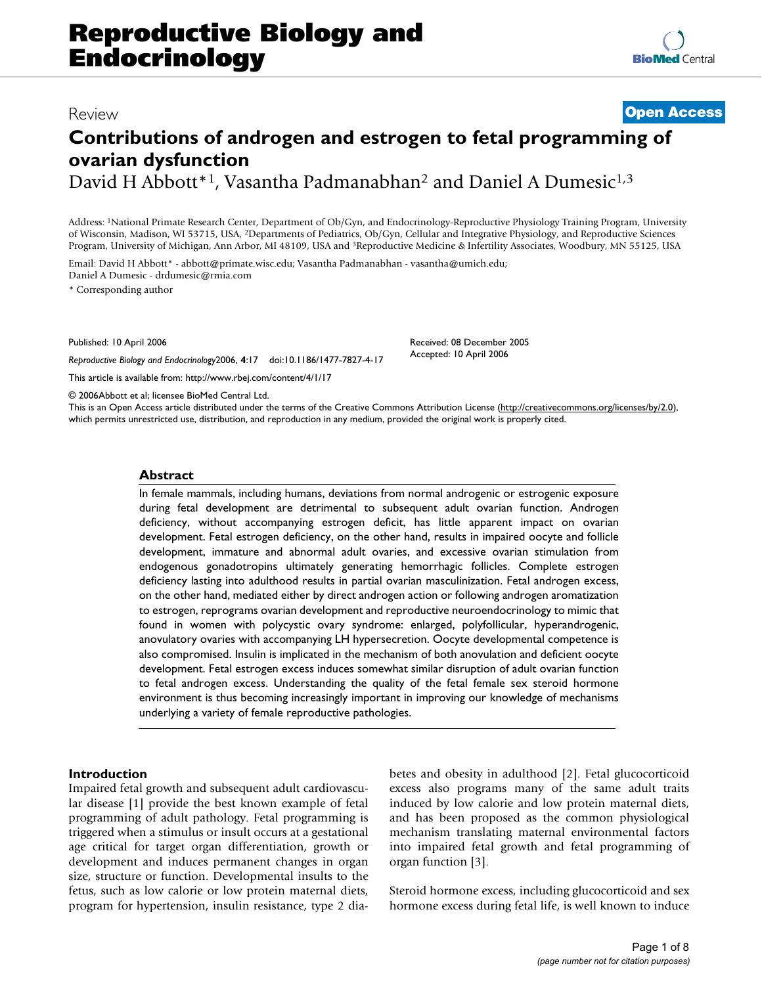# Review **[Open Access](http://www.biomedcentral.com/info/about/charter/)**

# **Contributions of androgen and estrogen to fetal programming of ovarian dysfunction**

David H Abbott\*<sup>1</sup>, Vasantha Padmanabhan<sup>2</sup> and Daniel A Dumesic<sup>1,3</sup>

Address: 1National Primate Research Center, Department of Ob/Gyn, and Endocrinology-Reproductive Physiology Training Program, University of Wisconsin, Madison, WI 53715, USA, 2Departments of Pediatrics, Ob/Gyn, Cellular and Integrative Physiology, and Reproductive Sciences Program, University of Michigan, Ann Arbor, MI 48109, USA and 3Reproductive Medicine & Infertility Associates, Woodbury, MN 55125, USA

Email: David H Abbott\* - abbott@primate.wisc.edu; Vasantha Padmanabhan - vasantha@umich.edu; Daniel A Dumesic - drdumesic@rmia.com

\* Corresponding author

Published: 10 April 2006

*Reproductive Biology and Endocrinology*2006, **4**:17 doi:10.1186/1477-7827-4-17

[This article is available from: http://www.rbej.com/content/4/1/17](http://www.rbej.com/content/4/1/17)

© 2006Abbott et al; licensee BioMed Central Ltd.

This is an Open Access article distributed under the terms of the Creative Commons Attribution License [\(http://creativecommons.org/licenses/by/2.0\)](http://creativecommons.org/licenses/by/2.0), which permits unrestricted use, distribution, and reproduction in any medium, provided the original work is properly cited.

Received: 08 December 2005 Accepted: 10 April 2006

#### **Abstract**

In female mammals, including humans, deviations from normal androgenic or estrogenic exposure during fetal development are detrimental to subsequent adult ovarian function. Androgen deficiency, without accompanying estrogen deficit, has little apparent impact on ovarian development. Fetal estrogen deficiency, on the other hand, results in impaired oocyte and follicle development, immature and abnormal adult ovaries, and excessive ovarian stimulation from endogenous gonadotropins ultimately generating hemorrhagic follicles. Complete estrogen deficiency lasting into adulthood results in partial ovarian masculinization. Fetal androgen excess, on the other hand, mediated either by direct androgen action or following androgen aromatization to estrogen, reprograms ovarian development and reproductive neuroendocrinology to mimic that found in women with polycystic ovary syndrome: enlarged, polyfollicular, hyperandrogenic, anovulatory ovaries with accompanying LH hypersecretion. Oocyte developmental competence is also compromised. Insulin is implicated in the mechanism of both anovulation and deficient oocyte development. Fetal estrogen excess induces somewhat similar disruption of adult ovarian function to fetal androgen excess. Understanding the quality of the fetal female sex steroid hormone environment is thus becoming increasingly important in improving our knowledge of mechanisms underlying a variety of female reproductive pathologies.

#### **Introduction**

Impaired fetal growth and subsequent adult cardiovascular disease [1] provide the best known example of fetal programming of adult pathology. Fetal programming is triggered when a stimulus or insult occurs at a gestational age critical for target organ differentiation, growth or development and induces permanent changes in organ size, structure or function. Developmental insults to the fetus, such as low calorie or low protein maternal diets, program for hypertension, insulin resistance, type 2 diabetes and obesity in adulthood [2]. Fetal glucocorticoid excess also programs many of the same adult traits induced by low calorie and low protein maternal diets, and has been proposed as the common physiological mechanism translating maternal environmental factors into impaired fetal growth and fetal programming of organ function [3].

Steroid hormone excess, including glucocorticoid and sex hormone excess during fetal life, is well known to induce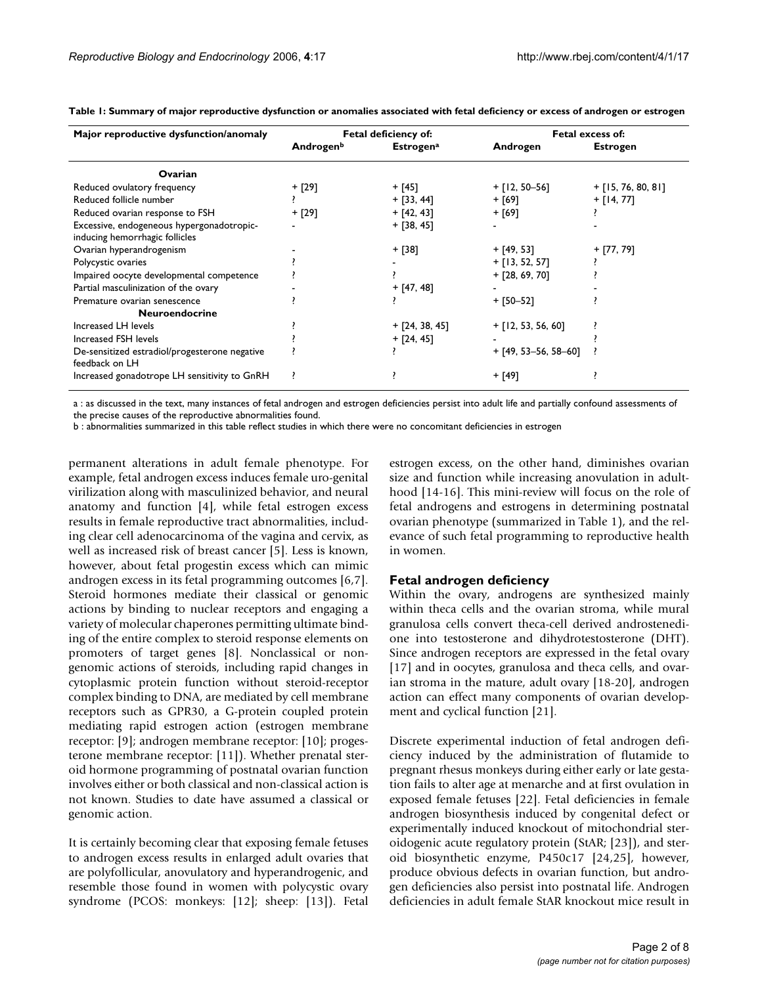| Major reproductive dysfunction/anomaly                                      | Fetal deficiency of: |                              | Fetal excess of:       |                      |
|-----------------------------------------------------------------------------|----------------------|------------------------------|------------------------|----------------------|
|                                                                             | Androgenb            | <b>Estrogen</b> <sup>a</sup> | Androgen               | <b>Estrogen</b>      |
| Ovarian                                                                     |                      |                              |                        |                      |
| Reduced ovulatory frequency                                                 | + [29]               | + [45]                       | $+$ [12, 50–56]        | $+$ [15, 76, 80, 81] |
| Reduced follicle number                                                     |                      | $+$ [33, 44]                 | + [69]                 | $+$ [14, 77]         |
| Reduced ovarian response to FSH                                             | + [29]               | $+$ [42, 43]                 | + [69]                 |                      |
| Excessive, endogeneous hypergonadotropic-<br>inducing hemorrhagic follicles |                      | $+$ [38, 45]                 |                        |                      |
| Ovarian hyperandrogenism                                                    |                      | + [38]                       | + [49, 53]             | + [77, 79]           |
| Polycystic ovaries                                                          |                      |                              | $+$ [13, 52, 57]       |                      |
| Impaired oocyte developmental competence                                    |                      |                              | $+$ [28, 69, 70]       |                      |
| Partial masculinization of the ovary                                        |                      | + [47, 48]                   |                        |                      |
| Premature ovarian senescence                                                |                      |                              | $+$ [50-52]            |                      |
| <b>Neuroendocrine</b>                                                       |                      |                              |                        |                      |
| Increased LH levels                                                         |                      | $+$ [24, 38, 45]             | $+$ [12, 53, 56, 60]   |                      |
| Increased FSH levels                                                        |                      | $+$ [24, 45]                 |                        |                      |
| De-sensitized estradiol/progesterone negative<br>feedback on LH             |                      |                              | $+$ [49, 53-56, 58-60] |                      |
| Increased gonadotrope LH sensitivity to GnRH                                |                      |                              | + [49]                 |                      |

**Table 1: Summary of major reproductive dysfunction or anomalies associated with fetal deficiency or excess of androgen or estrogen**

a : as discussed in the text, many instances of fetal androgen and estrogen deficiencies persist into adult life and partially confound assessments of the precise causes of the reproductive abnormalities found.

b : abnormalities summarized in this table reflect studies in which there were no concomitant deficiencies in estrogen

permanent alterations in adult female phenotype. For example, fetal androgen excess induces female uro-genital virilization along with masculinized behavior, and neural anatomy and function [4], while fetal estrogen excess results in female reproductive tract abnormalities, including clear cell adenocarcinoma of the vagina and cervix, as well as increased risk of breast cancer [5]. Less is known, however, about fetal progestin excess which can mimic androgen excess in its fetal programming outcomes [6,7]. Steroid hormones mediate their classical or genomic actions by binding to nuclear receptors and engaging a variety of molecular chaperones permitting ultimate binding of the entire complex to steroid response elements on promoters of target genes [8]. Nonclassical or nongenomic actions of steroids, including rapid changes in cytoplasmic protein function without steroid-receptor complex binding to DNA, are mediated by cell membrane receptors such as GPR30, a G-protein coupled protein mediating rapid estrogen action (estrogen membrane receptor: [9]; androgen membrane receptor: [10]; progesterone membrane receptor: [11]). Whether prenatal steroid hormone programming of postnatal ovarian function involves either or both classical and non-classical action is not known. Studies to date have assumed a classical or genomic action.

It is certainly becoming clear that exposing female fetuses to androgen excess results in enlarged adult ovaries that are polyfollicular, anovulatory and hyperandrogenic, and resemble those found in women with polycystic ovary syndrome (PCOS: monkeys: [12]; sheep: [13]). Fetal

estrogen excess, on the other hand, diminishes ovarian size and function while increasing anovulation in adulthood [14-16]. This mini-review will focus on the role of fetal androgens and estrogens in determining postnatal ovarian phenotype (summarized in Table 1), and the relevance of such fetal programming to reproductive health in women.

#### **Fetal androgen deficiency**

Within the ovary, androgens are synthesized mainly within theca cells and the ovarian stroma, while mural granulosa cells convert theca-cell derived androstenedione into testosterone and dihydrotestosterone (DHT). Since androgen receptors are expressed in the fetal ovary [17] and in oocytes, granulosa and theca cells, and ovarian stroma in the mature, adult ovary [18-20], androgen action can effect many components of ovarian development and cyclical function [21].

Discrete experimental induction of fetal androgen deficiency induced by the administration of flutamide to pregnant rhesus monkeys during either early or late gestation fails to alter age at menarche and at first ovulation in exposed female fetuses [22]. Fetal deficiencies in female androgen biosynthesis induced by congenital defect or experimentally induced knockout of mitochondrial steroidogenic acute regulatory protein (StAR; [23]), and steroid biosynthetic enzyme, P450c17 [24,25], however, produce obvious defects in ovarian function, but androgen deficiencies also persist into postnatal life. Androgen deficiencies in adult female StAR knockout mice result in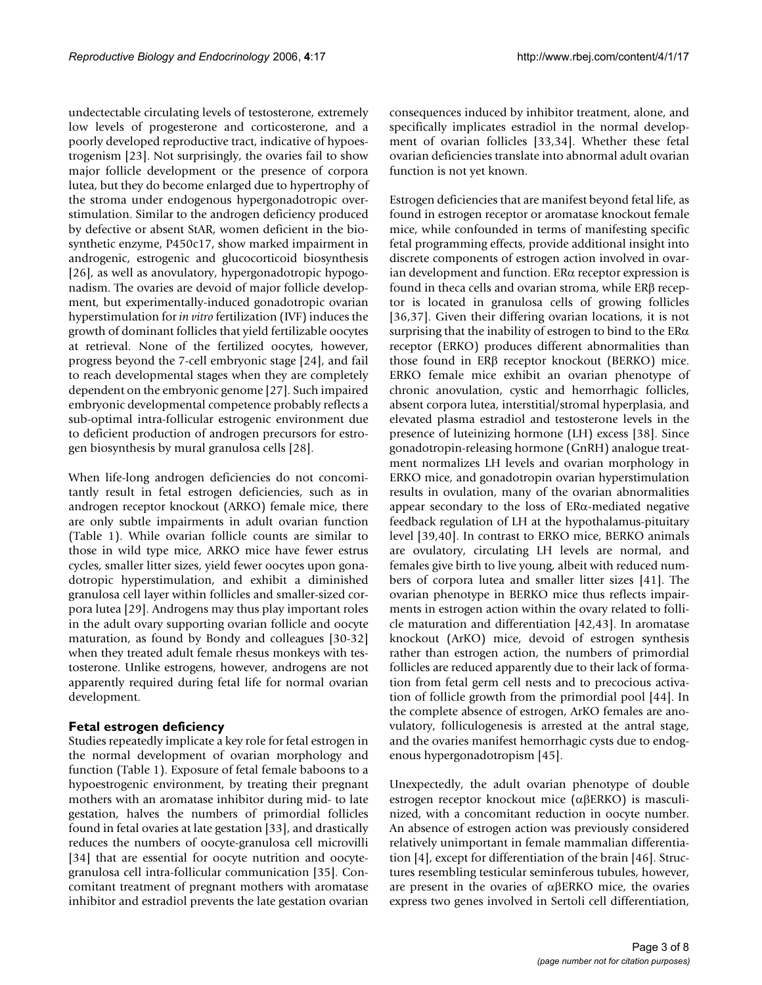undectectable circulating levels of testosterone, extremely low levels of progesterone and corticosterone, and a poorly developed reproductive tract, indicative of hypoestrogenism [23]. Not surprisingly, the ovaries fail to show major follicle development or the presence of corpora lutea, but they do become enlarged due to hypertrophy of the stroma under endogenous hypergonadotropic overstimulation. Similar to the androgen deficiency produced by defective or absent StAR, women deficient in the biosynthetic enzyme, P450c17, show marked impairment in androgenic, estrogenic and glucocorticoid biosynthesis [26], as well as anovulatory, hypergonadotropic hypogonadism. The ovaries are devoid of major follicle development, but experimentally-induced gonadotropic ovarian hyperstimulation for *in vitro* fertilization (IVF) induces the growth of dominant follicles that yield fertilizable oocytes at retrieval. None of the fertilized oocytes, however, progress beyond the 7-cell embryonic stage [24], and fail to reach developmental stages when they are completely dependent on the embryonic genome [27]. Such impaired embryonic developmental competence probably reflects a sub-optimal intra-follicular estrogenic environment due to deficient production of androgen precursors for estrogen biosynthesis by mural granulosa cells [28].

When life-long androgen deficiencies do not concomitantly result in fetal estrogen deficiencies, such as in androgen receptor knockout (ARKO) female mice, there are only subtle impairments in adult ovarian function (Table 1). While ovarian follicle counts are similar to those in wild type mice, ARKO mice have fewer estrus cycles, smaller litter sizes, yield fewer oocytes upon gonadotropic hyperstimulation, and exhibit a diminished granulosa cell layer within follicles and smaller-sized corpora lutea [29]. Androgens may thus play important roles in the adult ovary supporting ovarian follicle and oocyte maturation, as found by Bondy and colleagues [30-32] when they treated adult female rhesus monkeys with testosterone. Unlike estrogens, however, androgens are not apparently required during fetal life for normal ovarian development.

# **Fetal estrogen deficiency**

Studies repeatedly implicate a key role for fetal estrogen in the normal development of ovarian morphology and function (Table 1). Exposure of fetal female baboons to a hypoestrogenic environment, by treating their pregnant mothers with an aromatase inhibitor during mid- to late gestation, halves the numbers of primordial follicles found in fetal ovaries at late gestation [33], and drastically reduces the numbers of oocyte-granulosa cell microvilli [34] that are essential for oocyte nutrition and oocytegranulosa cell intra-follicular communication [35]. Concomitant treatment of pregnant mothers with aromatase inhibitor and estradiol prevents the late gestation ovarian

consequences induced by inhibitor treatment, alone, and specifically implicates estradiol in the normal development of ovarian follicles [33,34]. Whether these fetal ovarian deficiencies translate into abnormal adult ovarian function is not yet known.

Estrogen deficiencies that are manifest beyond fetal life, as found in estrogen receptor or aromatase knockout female mice, while confounded in terms of manifesting specific fetal programming effects, provide additional insight into discrete components of estrogen action involved in ovarian development and function. ERα receptor expression is found in theca cells and ovarian stroma, while ERβ receptor is located in granulosa cells of growing follicles [36,37]. Given their differing ovarian locations, it is not surprising that the inability of estrogen to bind to the  $ER\alpha$ receptor (ERKO) produces different abnormalities than those found in ERβ receptor knockout (BERKO) mice. ERKO female mice exhibit an ovarian phenotype of chronic anovulation, cystic and hemorrhagic follicles, absent corpora lutea, interstitial/stromal hyperplasia, and elevated plasma estradiol and testosterone levels in the presence of luteinizing hormone (LH) excess [38]. Since gonadotropin-releasing hormone (GnRH) analogue treatment normalizes LH levels and ovarian morphology in ERKO mice, and gonadotropin ovarian hyperstimulation results in ovulation, many of the ovarian abnormalities appear secondary to the loss of ERα-mediated negative feedback regulation of LH at the hypothalamus-pituitary level [39,40]. In contrast to ERKO mice, BERKO animals are ovulatory, circulating LH levels are normal, and females give birth to live young, albeit with reduced numbers of corpora lutea and smaller litter sizes [41]. The ovarian phenotype in BERKO mice thus reflects impairments in estrogen action within the ovary related to follicle maturation and differentiation [42,43]. In aromatase knockout (ArKO) mice, devoid of estrogen synthesis rather than estrogen action, the numbers of primordial follicles are reduced apparently due to their lack of formation from fetal germ cell nests and to precocious activation of follicle growth from the primordial pool [44]. In the complete absence of estrogen, ArKO females are anovulatory, folliculogenesis is arrested at the antral stage, and the ovaries manifest hemorrhagic cysts due to endogenous hypergonadotropism [45].

Unexpectedly, the adult ovarian phenotype of double estrogen receptor knockout mice (αβERKO) is masculinized, with a concomitant reduction in oocyte number. An absence of estrogen action was previously considered relatively unimportant in female mammalian differentiation [4], except for differentiation of the brain [46]. Structures resembling testicular seminferous tubules, however, are present in the ovaries of  $\alpha\beta$ ERKO mice, the ovaries express two genes involved in Sertoli cell differentiation,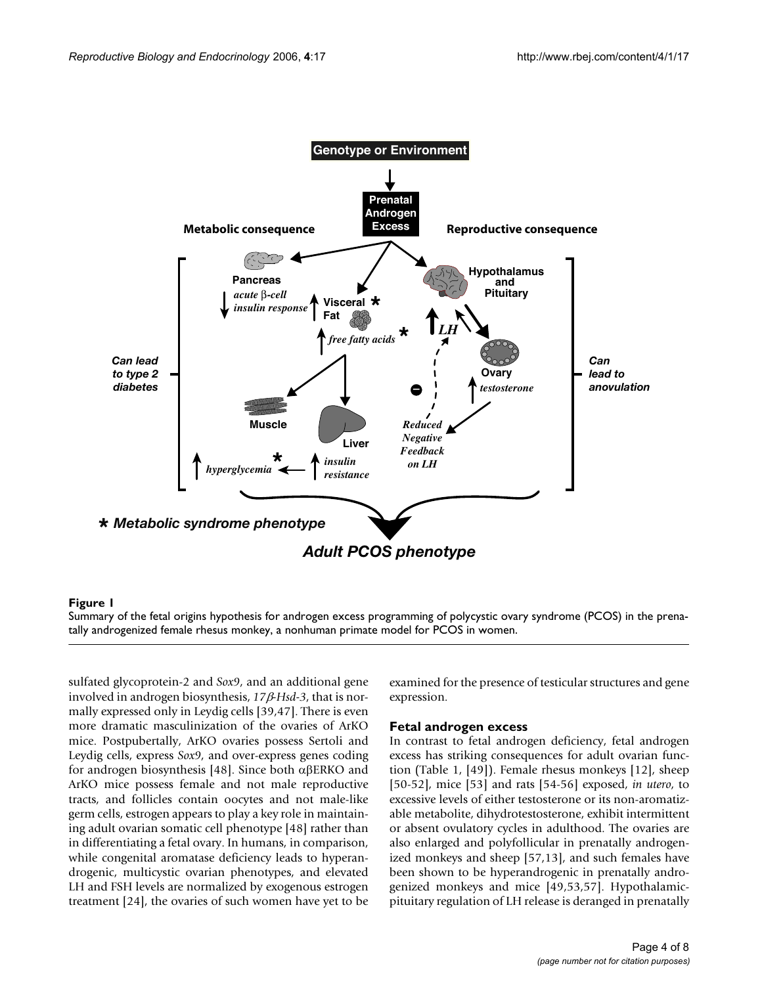

### Summary of the fetal origins hypothesis fo tally androgenized female rhesus monkey, a **Figure 1** r androgen excess programming of polycyst nonhuman primate model for PCOS in women ic ovary syndrome (PCOS) in the prena-

Summary of the fetal origins hypothesis for androgen excess programming of polycystic ovary syndrome (PCOS) in the prenatally androgenized female rhesus monkey, a nonhuman primate model for PCOS in women.

sulfated glycoprotein-2 and *Sox9*, and an additional gene involved in androgen biosynthesis, *17*β*-Hsd-3*, that is normally expressed only in Leydig cells [39,47]. There is even more dramatic masculinization of the ovaries of ArKO mice. Postpubertally, ArKO ovaries possess Sertoli and Leydig cells, express *Sox9*, and over-express genes coding for androgen biosynthesis [48]. Since both αβERKO and ArKO mice possess female and not male reproductive tracts, and follicles contain oocytes and not male-like germ cells, estrogen appears to play a key role in maintaining adult ovarian somatic cell phenotype [48] rather than in differentiating a fetal ovary. In humans, in comparison, while congenital aromatase deficiency leads to hyperandrogenic, multicystic ovarian phenotypes, and elevated LH and FSH levels are normalized by exogenous estrogen treatment [24], the ovaries of such women have yet to be examined for the presence of testicular structures and gene expression.

#### **Fetal androgen excess**

In contrast to fetal androgen deficiency, fetal androgen excess has striking consequences for adult ovarian function (Table 1, [49]). Female rhesus monkeys [12], sheep [50-52], mice [53] and rats [54-56] exposed, *in utero*, to excessive levels of either testosterone or its non-aromatizable metabolite, dihydrotestosterone, exhibit intermittent or absent ovulatory cycles in adulthood. The ovaries are also enlarged and polyfollicular in prenatally androgenized monkeys and sheep [57,13], and such females have been shown to be hyperandrogenic in prenatally androgenized monkeys and mice [49,53,57]. Hypothalamicpituitary regulation of LH release is deranged in prenatally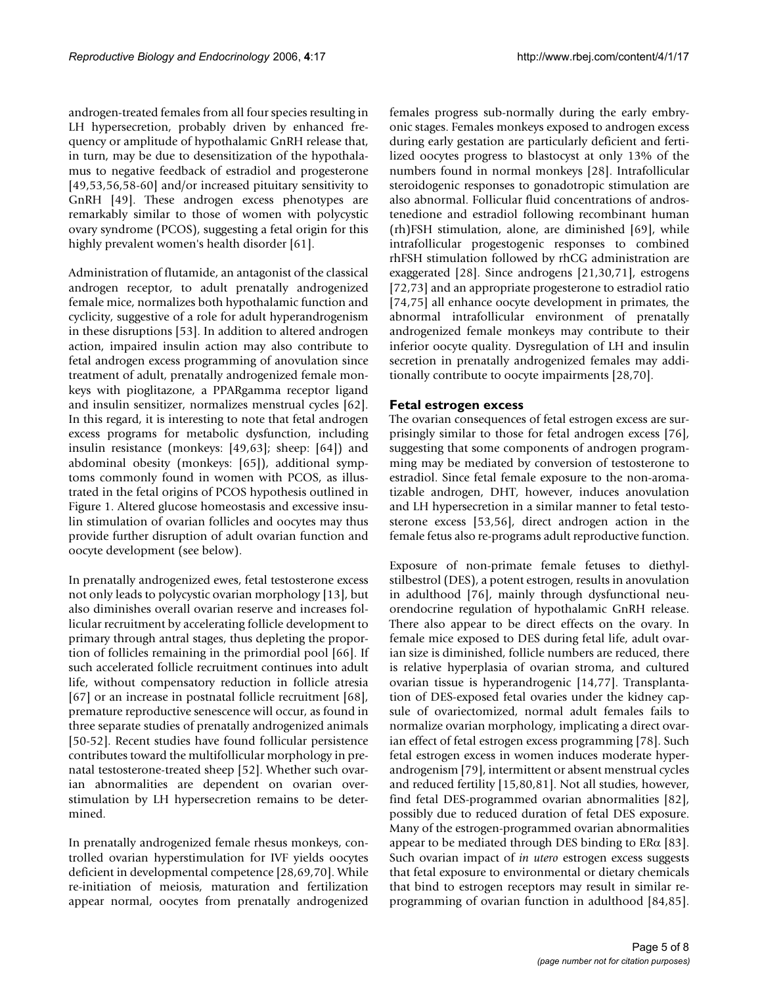androgen-treated females from all four species resulting in LH hypersecretion, probably driven by enhanced frequency or amplitude of hypothalamic GnRH release that, in turn, may be due to desensitization of the hypothalamus to negative feedback of estradiol and progesterone [49,53,56,58-60] and/or increased pituitary sensitivity to GnRH [49]. These androgen excess phenotypes are remarkably similar to those of women with polycystic ovary syndrome (PCOS), suggesting a fetal origin for this highly prevalent women's health disorder [61].

Administration of flutamide, an antagonist of the classical androgen receptor, to adult prenatally androgenized female mice, normalizes both hypothalamic function and cyclicity, suggestive of a role for adult hyperandrogenism in these disruptions [53]. In addition to altered androgen action, impaired insulin action may also contribute to fetal androgen excess programming of anovulation since treatment of adult, prenatally androgenized female monkeys with pioglitazone, a PPARgamma receptor ligand and insulin sensitizer, normalizes menstrual cycles [62]. In this regard, it is interesting to note that fetal androgen excess programs for metabolic dysfunction, including insulin resistance (monkeys: [49,63]; sheep: [64]) and abdominal obesity (monkeys: [65]), additional symptoms commonly found in women with PCOS, as illustrated in the fetal origins of PCOS hypothesis outlined in Figure 1. Altered glucose homeostasis and excessive insulin stimulation of ovarian follicles and oocytes may thus provide further disruption of adult ovarian function and oocyte development (see below).

In prenatally androgenized ewes, fetal testosterone excess not only leads to polycystic ovarian morphology [13], but also diminishes overall ovarian reserve and increases follicular recruitment by accelerating follicle development to primary through antral stages, thus depleting the proportion of follicles remaining in the primordial pool [66]. If such accelerated follicle recruitment continues into adult life, without compensatory reduction in follicle atresia [67] or an increase in postnatal follicle recruitment [68], premature reproductive senescence will occur, as found in three separate studies of prenatally androgenized animals [50-52]. Recent studies have found follicular persistence contributes toward the multifollicular morphology in prenatal testosterone-treated sheep [52]. Whether such ovarian abnormalities are dependent on ovarian overstimulation by LH hypersecretion remains to be determined.

In prenatally androgenized female rhesus monkeys, controlled ovarian hyperstimulation for IVF yields oocytes deficient in developmental competence [28,69,70]. While re-initiation of meiosis, maturation and fertilization appear normal, oocytes from prenatally androgenized

females progress sub-normally during the early embryonic stages. Females monkeys exposed to androgen excess during early gestation are particularly deficient and fertilized oocytes progress to blastocyst at only 13% of the numbers found in normal monkeys [28]. Intrafollicular steroidogenic responses to gonadotropic stimulation are also abnormal. Follicular fluid concentrations of androstenedione and estradiol following recombinant human (rh)FSH stimulation, alone, are diminished [69], while intrafollicular progestogenic responses to combined rhFSH stimulation followed by rhCG administration are exaggerated [28]. Since androgens [21,30,71], estrogens [72,73] and an appropriate progesterone to estradiol ratio [74,75] all enhance oocyte development in primates, the abnormal intrafollicular environment of prenatally androgenized female monkeys may contribute to their inferior oocyte quality. Dysregulation of LH and insulin secretion in prenatally androgenized females may additionally contribute to oocyte impairments [28,70].

# **Fetal estrogen excess**

The ovarian consequences of fetal estrogen excess are surprisingly similar to those for fetal androgen excess [76], suggesting that some components of androgen programming may be mediated by conversion of testosterone to estradiol. Since fetal female exposure to the non-aromatizable androgen, DHT, however, induces anovulation and LH hypersecretion in a similar manner to fetal testosterone excess [53,56], direct androgen action in the female fetus also re-programs adult reproductive function.

Exposure of non-primate female fetuses to diethylstilbestrol (DES), a potent estrogen, results in anovulation in adulthood [76], mainly through dysfunctional neuorendocrine regulation of hypothalamic GnRH release. There also appear to be direct effects on the ovary. In female mice exposed to DES during fetal life, adult ovarian size is diminished, follicle numbers are reduced, there is relative hyperplasia of ovarian stroma, and cultured ovarian tissue is hyperandrogenic [14,77]. Transplantation of DES-exposed fetal ovaries under the kidney capsule of ovariectomized, normal adult females fails to normalize ovarian morphology, implicating a direct ovarian effect of fetal estrogen excess programming [78]. Such fetal estrogen excess in women induces moderate hyperandrogenism [79], intermittent or absent menstrual cycles and reduced fertility [15,80,81]. Not all studies, however, find fetal DES-programmed ovarian abnormalities [82], possibly due to reduced duration of fetal DES exposure. Many of the estrogen-programmed ovarian abnormalities appear to be mediated through DES binding to  $ER\alpha$  [83]. Such ovarian impact of *in utero* estrogen excess suggests that fetal exposure to environmental or dietary chemicals that bind to estrogen receptors may result in similar reprogramming of ovarian function in adulthood [84,85].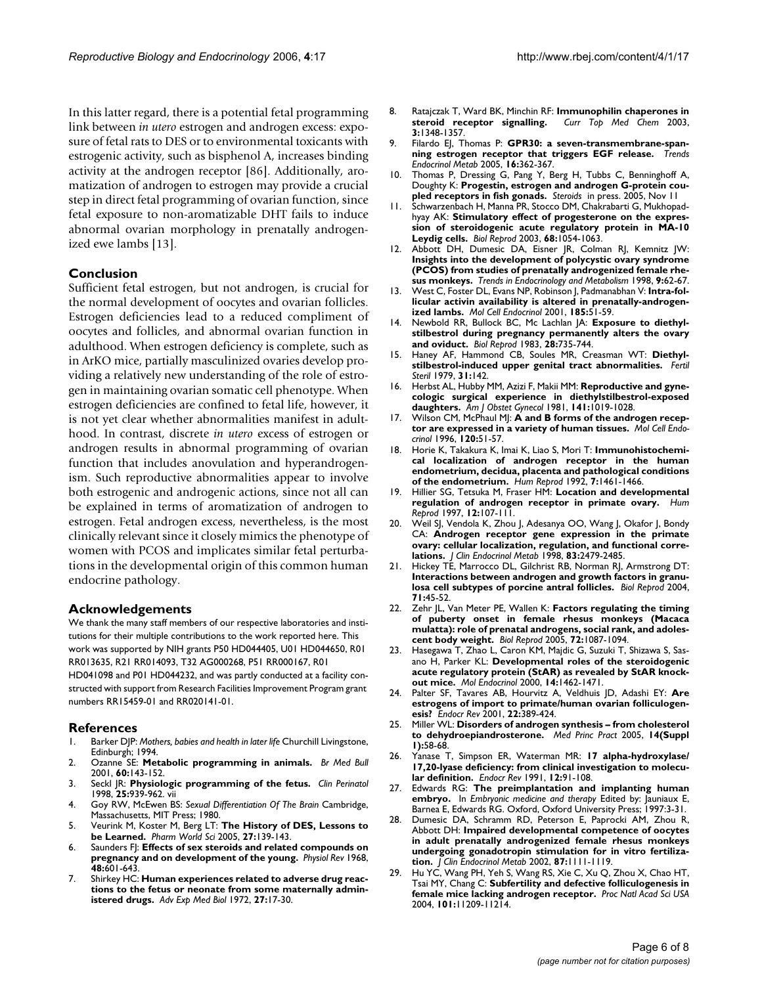In this latter regard, there is a potential fetal programming link between *in utero* estrogen and androgen excess: exposure of fetal rats to DES or to environmental toxicants with estrogenic activity, such as bisphenol A, increases binding activity at the androgen receptor [86]. Additionally, aromatization of androgen to estrogen may provide a crucial step in direct fetal programming of ovarian function, since fetal exposure to non-aromatizable DHT fails to induce abnormal ovarian morphology in prenatally androgenized ewe lambs [13].

#### **Conclusion**

Sufficient fetal estrogen, but not androgen, is crucial for the normal development of oocytes and ovarian follicles. Estrogen deficiencies lead to a reduced compliment of oocytes and follicles, and abnormal ovarian function in adulthood. When estrogen deficiency is complete, such as in ArKO mice, partially masculinized ovaries develop providing a relatively new understanding of the role of estrogen in maintaining ovarian somatic cell phenotype. When estrogen deficiencies are confined to fetal life, however, it is not yet clear whether abnormalities manifest in adulthood. In contrast, discrete *in utero* excess of estrogen or androgen results in abnormal programming of ovarian function that includes anovulation and hyperandrogenism. Such reproductive abnormalities appear to involve both estrogenic and androgenic actions, since not all can be explained in terms of aromatization of androgen to estrogen. Fetal androgen excess, nevertheless, is the most clinically relevant since it closely mimics the phenotype of women with PCOS and implicates similar fetal perturbations in the developmental origin of this common human endocrine pathology.

#### **Acknowledgements**

We thank the many staff members of our respective laboratories and institutions for their multiple contributions to the work reported here. This work was supported by NIH grants P50 HD044405, U01 HD044650, R01 RR013635, R21 RR014093, T32 AG000268, P51 RR000167, R01

HD041098 and P01 HD044232, and was partly conducted at a facility constructed with support from Research Facilities Improvement Program grant numbers RR15459-01 and RR020141-01.

#### **References**

- 1. Barker DJP: *Mothers, babies and health in later life* Churchill Livingstone, Edinburgh; 1994.
- 2. Ozanne SE: **[Metabolic programming in animals.](http://www.ncbi.nlm.nih.gov/entrez/query.fcgi?cmd=Retrieve&db=PubMed&dopt=Abstract&list_uids=11809623)** *Br Med Bull* 2001, **60:**143-152.
- 3. Seckl JR: **[Physiologic programming of the fetus.](http://www.ncbi.nlm.nih.gov/entrez/query.fcgi?cmd=Retrieve&db=PubMed&dopt=Abstract&list_uids=9891623)** *Clin Perinatol* 1998, **25:**939-962. vii
- 4. Goy RW, McEwen BS: *Sexual Differentiation Of The Brain* Cambridge, Massachusetts, MIT Press; 1980.
- 5. Veurink M, Koster M, Berg LT: **[The History of DES, Lessons to](http://www.ncbi.nlm.nih.gov/entrez/query.fcgi?cmd=Retrieve&db=PubMed&dopt=Abstract&list_uids=16096877) [be Learned.](http://www.ncbi.nlm.nih.gov/entrez/query.fcgi?cmd=Retrieve&db=PubMed&dopt=Abstract&list_uids=16096877)** *Pharm World Sci* 2005, **27:**139-143.
- 6. Saunders FJ: **[Effects of sex steroids and related compounds on](http://www.ncbi.nlm.nih.gov/entrez/query.fcgi?cmd=Retrieve&db=PubMed&dopt=Abstract&list_uids=4873867) [pregnancy and on development of the young.](http://www.ncbi.nlm.nih.gov/entrez/query.fcgi?cmd=Retrieve&db=PubMed&dopt=Abstract&list_uids=4873867)** *Physiol Rev* 1968, **48:**601-643.
- 7. Shirkey HC: **[Human experiences related to adverse drug reac](http://www.ncbi.nlm.nih.gov/entrez/query.fcgi?cmd=Retrieve&db=PubMed&dopt=Abstract&list_uids=4140679)[tions to the fetus or neonate from some maternally admin](http://www.ncbi.nlm.nih.gov/entrez/query.fcgi?cmd=Retrieve&db=PubMed&dopt=Abstract&list_uids=4140679)[istered drugs.](http://www.ncbi.nlm.nih.gov/entrez/query.fcgi?cmd=Retrieve&db=PubMed&dopt=Abstract&list_uids=4140679)** *Adv Exp Med Biol* 1972, **27:**17-30.
- 8. Ratajczak T, Ward BK, Minchin RF: **[Immunophilin chaperones in](http://www.ncbi.nlm.nih.gov/entrez/query.fcgi?cmd=Retrieve&db=PubMed&dopt=Abstract&list_uids=12871166)** [steroid receptor signalling.](http://www.ncbi.nlm.nih.gov/entrez/query.fcgi?cmd=Retrieve&db=PubMed&dopt=Abstract&list_uids=12871166) **3:**1348-1357.
- 9. Filardo EJ, Thomas P: **[GPR30: a seven-transmembrane-span](http://www.ncbi.nlm.nih.gov/entrez/query.fcgi?cmd=Retrieve&db=PubMed&dopt=Abstract&list_uids=16125968)[ning estrogen receptor that triggers EGF release.](http://www.ncbi.nlm.nih.gov/entrez/query.fcgi?cmd=Retrieve&db=PubMed&dopt=Abstract&list_uids=16125968)** *Trends Endocrinol Metab* 2005, **16:**362-367.
- 10. Thomas P, Dressing G, Pang Y, Berg H, Tubbs C, Benninghoff A, Doughty K: **Progestin, estrogen and androgen G-protein coupled receptors in fish gonads.** *Steroids* in press. 2005, Nov 11
- 11. Schwarzenbach H, Manna PR, Stocco DM, Chakrabarti G, Mukhopadhyay AK: **[Stimulatory effect of progesterone on the expres](http://www.ncbi.nlm.nih.gov/entrez/query.fcgi?cmd=Retrieve&db=PubMed&dopt=Abstract&list_uids=12604660)[sion of steroidogenic acute regulatory protein in MA-10](http://www.ncbi.nlm.nih.gov/entrez/query.fcgi?cmd=Retrieve&db=PubMed&dopt=Abstract&list_uids=12604660) [Leydig cells.](http://www.ncbi.nlm.nih.gov/entrez/query.fcgi?cmd=Retrieve&db=PubMed&dopt=Abstract&list_uids=12604660)** *Biol Reprod* 2003, **68:**1054-1063.
- 12. Abbott DH, Dumesic DA, Eisner JR, Colman RJ, Kemnitz JW: **Insights into the development of polycystic ovary syndrome (PCOS) from studies of prenatally androgenized female rhesus monkeys.** *Trends in Endocrinology and Metabolism* 1998, **9:**62-67.
- 13. West C, Foster DL, Evans NP, Robinson J, Padmanabhan V: **[Intra-fol](http://www.ncbi.nlm.nih.gov/entrez/query.fcgi?cmd=Retrieve&db=PubMed&dopt=Abstract&list_uids=11738794)[licular activin availability is altered in prenatally-androgen](http://www.ncbi.nlm.nih.gov/entrez/query.fcgi?cmd=Retrieve&db=PubMed&dopt=Abstract&list_uids=11738794)[ized lambs.](http://www.ncbi.nlm.nih.gov/entrez/query.fcgi?cmd=Retrieve&db=PubMed&dopt=Abstract&list_uids=11738794)** *Mol Cell Endocrinol* 2001, **185:**51-59.
- 14. Newbold RR, Bullock BC, Mc Lachlan JA: **[Exposure to diethyl](http://www.ncbi.nlm.nih.gov/entrez/query.fcgi?cmd=Retrieve&db=PubMed&dopt=Abstract&list_uids=6850046)[stilbestrol during pregnancy permanently alters the ovary](http://www.ncbi.nlm.nih.gov/entrez/query.fcgi?cmd=Retrieve&db=PubMed&dopt=Abstract&list_uids=6850046) [and oviduct.](http://www.ncbi.nlm.nih.gov/entrez/query.fcgi?cmd=Retrieve&db=PubMed&dopt=Abstract&list_uids=6850046)** *Biol Reprod* 1983, **28:**735-744.
- 15. Haney AF, Hammond CB, Soules MR, Creasman WT: **[Diethyl](http://www.ncbi.nlm.nih.gov/entrez/query.fcgi?cmd=Retrieve&db=PubMed&dopt=Abstract&list_uids=761676)[stilbestrol-induced upper genital tract abnormalities.](http://www.ncbi.nlm.nih.gov/entrez/query.fcgi?cmd=Retrieve&db=PubMed&dopt=Abstract&list_uids=761676)** *Fertil Steril* 1979, **31:**142.
- 16. Herbst AL, Hubby MM, Azizi F, Makii MM: **[Reproductive and gyne](http://www.ncbi.nlm.nih.gov/entrez/query.fcgi?cmd=Retrieve&db=PubMed&dopt=Abstract&list_uids=7315913)[cologic surgical experience in diethylstilbestrol-exposed](http://www.ncbi.nlm.nih.gov/entrez/query.fcgi?cmd=Retrieve&db=PubMed&dopt=Abstract&list_uids=7315913) [daughters.](http://www.ncbi.nlm.nih.gov/entrez/query.fcgi?cmd=Retrieve&db=PubMed&dopt=Abstract&list_uids=7315913)** *Am J Obstet Gynecol* 1981, **141:**1019-1028.
- 17. Wilson CM, McPhaul MJ: **[A and B forms of the androgen recep](http://www.ncbi.nlm.nih.gov/entrez/query.fcgi?cmd=Retrieve&db=PubMed&dopt=Abstract&list_uids=8809738)[tor are expressed in a variety of human tissues.](http://www.ncbi.nlm.nih.gov/entrez/query.fcgi?cmd=Retrieve&db=PubMed&dopt=Abstract&list_uids=8809738)** *Mol Cell Endocrinol* 1996, **120:**51-57.
- 18. Horie K, Takakura K, Imai K, Liao S, Mori T: **[Immunohistochemi](http://www.ncbi.nlm.nih.gov/entrez/query.fcgi?cmd=Retrieve&db=PubMed&dopt=Abstract&list_uids=1291578)cal localization of androgen receptor in the human [endometrium, decidua, placenta and pathological conditions](http://www.ncbi.nlm.nih.gov/entrez/query.fcgi?cmd=Retrieve&db=PubMed&dopt=Abstract&list_uids=1291578) [of the endometrium.](http://www.ncbi.nlm.nih.gov/entrez/query.fcgi?cmd=Retrieve&db=PubMed&dopt=Abstract&list_uids=1291578)** *Hum Reprod* 1992, **7:**1461-1466.
- 19. Hillier SG, Tetsuka M, Fraser HM: **[Location and developmental](http://www.ncbi.nlm.nih.gov/entrez/query.fcgi?cmd=Retrieve&db=PubMed&dopt=Abstract&list_uids=9043913) [regulation of androgen receptor in primate ovary.](http://www.ncbi.nlm.nih.gov/entrez/query.fcgi?cmd=Retrieve&db=PubMed&dopt=Abstract&list_uids=9043913)** *Hum Reprod* 1997, **12:**107-111.
- 20. Weil SJ, Vendola K, Zhou J, Adesanya OO, Wang J, Okafor J, Bondy CA: **[Androgen receptor gene expression in the primate](http://www.ncbi.nlm.nih.gov/entrez/query.fcgi?cmd=Retrieve&db=PubMed&dopt=Abstract&list_uids=9661631) [ovary: cellular localization, regulation, and functional corre](http://www.ncbi.nlm.nih.gov/entrez/query.fcgi?cmd=Retrieve&db=PubMed&dopt=Abstract&list_uids=9661631)[lations.](http://www.ncbi.nlm.nih.gov/entrez/query.fcgi?cmd=Retrieve&db=PubMed&dopt=Abstract&list_uids=9661631)** *J Clin Endocrinol Metab* 1998, **83:**2479-2485.
- 21. Hickey TE, Marrocco DL, Gilchrist RB, Norman RJ, Armstrong DT: **[Interactions between androgen and growth factors in granu](http://www.ncbi.nlm.nih.gov/entrez/query.fcgi?cmd=Retrieve&db=PubMed&dopt=Abstract&list_uids=14973257)[losa cell subtypes of porcine antral follicles.](http://www.ncbi.nlm.nih.gov/entrez/query.fcgi?cmd=Retrieve&db=PubMed&dopt=Abstract&list_uids=14973257)** *Biol Reprod* 2004, **71:**45-52.
- 22. Zehr JL, Van Meter PE, Wallen K: **[Factors regulating the timing](http://www.ncbi.nlm.nih.gov/entrez/query.fcgi?cmd=Retrieve&db=PubMed&dopt=Abstract&list_uids=15625235) of puberty onset in female rhesus monkeys (Macaca [mulatta\): role of prenatal androgens, social rank, and adoles](http://www.ncbi.nlm.nih.gov/entrez/query.fcgi?cmd=Retrieve&db=PubMed&dopt=Abstract&list_uids=15625235)[cent body weight.](http://www.ncbi.nlm.nih.gov/entrez/query.fcgi?cmd=Retrieve&db=PubMed&dopt=Abstract&list_uids=15625235)** *Biol Reprod* 2005, **72:**1087-1094.
- 23. Hasegawa T, Zhao L, Caron KM, Majdic G, Suzuki T, Shizawa S, Sasano H, Parker KL: **[Developmental roles of the steroidogenic](http://www.ncbi.nlm.nih.gov/entrez/query.fcgi?cmd=Retrieve&db=PubMed&dopt=Abstract&list_uids=10976923) [acute regulatory protein \(StAR\) as revealed by StAR knock](http://www.ncbi.nlm.nih.gov/entrez/query.fcgi?cmd=Retrieve&db=PubMed&dopt=Abstract&list_uids=10976923)[out mice.](http://www.ncbi.nlm.nih.gov/entrez/query.fcgi?cmd=Retrieve&db=PubMed&dopt=Abstract&list_uids=10976923)** *Mol Endocrinol* 2000, **14:**1462-1471.
- 24. Palter SF, Tavares AB, Hourvitz A, Veldhuis JD, Adashi EY: **[Are](http://www.ncbi.nlm.nih.gov/entrez/query.fcgi?cmd=Retrieve&db=PubMed&dopt=Abstract&list_uids=11399749) [estrogens of import to primate/human ovarian folliculogen](http://www.ncbi.nlm.nih.gov/entrez/query.fcgi?cmd=Retrieve&db=PubMed&dopt=Abstract&list_uids=11399749)[esis?](http://www.ncbi.nlm.nih.gov/entrez/query.fcgi?cmd=Retrieve&db=PubMed&dopt=Abstract&list_uids=11399749)** *Endocr Rev* 2001, **22:**389-424.
- 25. Miller WL: **[Disorders of androgen synthesis from cholesterol](http://www.ncbi.nlm.nih.gov/entrez/query.fcgi?cmd=Retrieve&db=PubMed&dopt=Abstract&list_uids=16103714) [to dehydroepiandrosterone.](http://www.ncbi.nlm.nih.gov/entrez/query.fcgi?cmd=Retrieve&db=PubMed&dopt=Abstract&list_uids=16103714)** *Med Princ Pract* 2005, **14(Suppl 1):**58-68.
- 26. Yanase T, Simpson ER, Waterman MR: **[17 alpha-hydroxylase/](http://www.ncbi.nlm.nih.gov/entrez/query.fcgi?cmd=Retrieve&db=PubMed&dopt=Abstract&list_uids=2026124) [17,20-lyase deficiency: from clinical investigation to molecu](http://www.ncbi.nlm.nih.gov/entrez/query.fcgi?cmd=Retrieve&db=PubMed&dopt=Abstract&list_uids=2026124)[lar definition.](http://www.ncbi.nlm.nih.gov/entrez/query.fcgi?cmd=Retrieve&db=PubMed&dopt=Abstract&list_uids=2026124)** *Endocr Rev* 1991, **12:**91-108.
- 27. Edwards RG: **The preimplantation and implanting human embryo.** In *Embryonic medicine and therapy* Edited by: Jauniaux E, Barnea E, Edwards RG. Oxford, Oxford University Press; 1997:3-31.
- 28. Dumesic DA, Schramm RD, Peterson E, Paprocki AM, Zhou R, Abbott DH: **[Impaired developmental competence of oocytes](http://www.ncbi.nlm.nih.gov/entrez/query.fcgi?cmd=Retrieve&db=PubMed&dopt=Abstract&list_uids=11889174) in adult prenatally androgenized female rhesus monkeys [undergoing gonadotropin stimulation for in vitro fertiliza](http://www.ncbi.nlm.nih.gov/entrez/query.fcgi?cmd=Retrieve&db=PubMed&dopt=Abstract&list_uids=11889174)[tion.](http://www.ncbi.nlm.nih.gov/entrez/query.fcgi?cmd=Retrieve&db=PubMed&dopt=Abstract&list_uids=11889174)** *J Clin Endocrinol Metab* 2002, **87:**1111-1119.
- 29. Hu YC, Wang PH, Yeh S, Wang RS, Xie C, Xu Q, Zhou X, Chao HT, Tsai MY, Chang C: **[Subfertility and defective folliculogenesis in](http://www.ncbi.nlm.nih.gov/entrez/query.fcgi?cmd=Retrieve&db=PubMed&dopt=Abstract&list_uids=15277682) [female mice lacking androgen receptor.](http://www.ncbi.nlm.nih.gov/entrez/query.fcgi?cmd=Retrieve&db=PubMed&dopt=Abstract&list_uids=15277682)** *Proc Natl Acad Sci USA* 2004, **101:**11209-11214.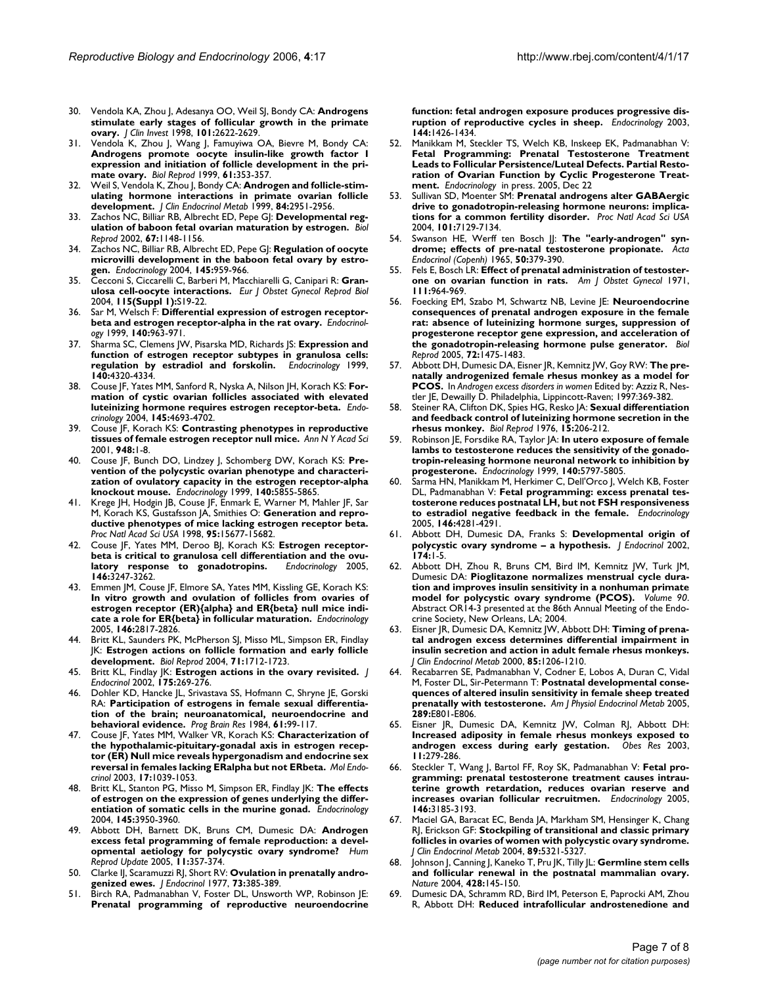- 30. Vendola KA, Zhou J, Adesanya OO, Weil SJ, Bondy CA: **[Androgens](http://www.ncbi.nlm.nih.gov/entrez/query.fcgi?cmd=Retrieve&db=PubMed&dopt=Abstract&list_uids=9637695) [stimulate early stages of follicular growth in the primate](http://www.ncbi.nlm.nih.gov/entrez/query.fcgi?cmd=Retrieve&db=PubMed&dopt=Abstract&list_uids=9637695) [ovary.](http://www.ncbi.nlm.nih.gov/entrez/query.fcgi?cmd=Retrieve&db=PubMed&dopt=Abstract&list_uids=9637695)** *J Clin Invest* 1998, **101:**2622-2629.
- Vendola K, Zhou J, Wang J, Famuyiwa OA, Bievre M, Bondy CA: **Androgens promote oocyte insulin-like growth factor I [expression and initiation of follicle development in the pri](http://www.ncbi.nlm.nih.gov/entrez/query.fcgi?cmd=Retrieve&db=PubMed&dopt=Abstract&list_uids=10411511)[mate ovary.](http://www.ncbi.nlm.nih.gov/entrez/query.fcgi?cmd=Retrieve&db=PubMed&dopt=Abstract&list_uids=10411511)** *Biol Reprod* 1999, **61:**353-357.
- 32. Weil S, Vendola K, Zhou J, Bondy CA: **[Androgen and follicle-stim](http://www.ncbi.nlm.nih.gov/entrez/query.fcgi?cmd=Retrieve&db=PubMed&dopt=Abstract&list_uids=10443703)[ulating hormone interactions in primate ovarian follicle](http://www.ncbi.nlm.nih.gov/entrez/query.fcgi?cmd=Retrieve&db=PubMed&dopt=Abstract&list_uids=10443703) [development.](http://www.ncbi.nlm.nih.gov/entrez/query.fcgi?cmd=Retrieve&db=PubMed&dopt=Abstract&list_uids=10443703)** *J Clin Endocrinol Metab* 1999, **84:**2951-2956.
- 33. Zachos NC, Billiar RB, Albrecht ED, Pepe GJ: **[Developmental reg](http://www.ncbi.nlm.nih.gov/entrez/query.fcgi?cmd=Retrieve&db=PubMed&dopt=Abstract&list_uids=12297530)[ulation of baboon fetal ovarian maturation by estrogen.](http://www.ncbi.nlm.nih.gov/entrez/query.fcgi?cmd=Retrieve&db=PubMed&dopt=Abstract&list_uids=12297530)** *Biol Reprod* 2002, **67:**1148-1156.
- 34. Zachos NC, Billiar RB, Albrecht ED, Pepe GJ: **[Regulation of oocyte](http://www.ncbi.nlm.nih.gov/entrez/query.fcgi?cmd=Retrieve&db=PubMed&dopt=Abstract&list_uids=14592953) [microvilli development in the baboon fetal ovary by estro](http://www.ncbi.nlm.nih.gov/entrez/query.fcgi?cmd=Retrieve&db=PubMed&dopt=Abstract&list_uids=14592953)[gen.](http://www.ncbi.nlm.nih.gov/entrez/query.fcgi?cmd=Retrieve&db=PubMed&dopt=Abstract&list_uids=14592953)** *Endocrinology* 2004, **145:**959-966.
- 35. Cecconi S, Ciccarelli C, Barberi M, Macchiarelli G, Canipari R: **[Gran](http://www.ncbi.nlm.nih.gov/entrez/query.fcgi?cmd=Retrieve&db=PubMed&dopt=Abstract&list_uids=15196711)[ulosa cell-oocyte interactions.](http://www.ncbi.nlm.nih.gov/entrez/query.fcgi?cmd=Retrieve&db=PubMed&dopt=Abstract&list_uids=15196711)** *Eur J Obstet Gynecol Reprod Biol* 2004, **115(Suppl 1):**S19-22.
- 36. Sar M, Welsch F: **[Differential expression of estrogen receptor](http://www.ncbi.nlm.nih.gov/entrez/query.fcgi?cmd=Retrieve&db=PubMed&dopt=Abstract&list_uids=9927330)[beta and estrogen receptor-alpha in the rat ovary.](http://www.ncbi.nlm.nih.gov/entrez/query.fcgi?cmd=Retrieve&db=PubMed&dopt=Abstract&list_uids=9927330)** *Endocrinology* 1999, **140:**963-971.
- 37. Sharma SC, Clemens JW, Pisarska MD, Richards JS: **[Expression and](http://www.ncbi.nlm.nih.gov/entrez/query.fcgi?cmd=Retrieve&db=PubMed&dopt=Abstract&list_uids=10465306) [function of estrogen receptor subtypes in granulosa cells:](http://www.ncbi.nlm.nih.gov/entrez/query.fcgi?cmd=Retrieve&db=PubMed&dopt=Abstract&list_uids=10465306) [regulation by estradiol and forskolin.](http://www.ncbi.nlm.nih.gov/entrez/query.fcgi?cmd=Retrieve&db=PubMed&dopt=Abstract&list_uids=10465306)** *Endocrinology* 1999, **140:**4320-4334.
- 38. Couse JF, Yates MM, Sanford R, Nyska A, Nilson JH, Korach KS: **[For](http://www.ncbi.nlm.nih.gov/entrez/query.fcgi?cmd=Retrieve&db=PubMed&dopt=Abstract&list_uids=15231698)[mation of cystic ovarian follicles associated with elevated](http://www.ncbi.nlm.nih.gov/entrez/query.fcgi?cmd=Retrieve&db=PubMed&dopt=Abstract&list_uids=15231698) [luteinizing hormone requires estrogen receptor-beta.](http://www.ncbi.nlm.nih.gov/entrez/query.fcgi?cmd=Retrieve&db=PubMed&dopt=Abstract&list_uids=15231698)** *Endocrinology* 2004, **145:**4693-4702.
- 39. Couse JF, Korach KS: **[Contrasting phenotypes in reproductive](http://www.ncbi.nlm.nih.gov/entrez/query.fcgi?cmd=Retrieve&db=PubMed&dopt=Abstract&list_uids=11795387) [tissues of female estrogen receptor null mice.](http://www.ncbi.nlm.nih.gov/entrez/query.fcgi?cmd=Retrieve&db=PubMed&dopt=Abstract&list_uids=11795387)** *Ann N Y Acad Sci* 2001, **948:**1-8.
- 40. Couse JF, Bunch DO, Lindzey J, Schomberg DW, Korach KS: **[Pre](http://www.ncbi.nlm.nih.gov/entrez/query.fcgi?cmd=Retrieve&db=PubMed&dopt=Abstract&list_uids=10579351)vention of the polycystic ovarian phenotype and characteri[zation of ovulatory capacity in the estrogen receptor-alpha](http://www.ncbi.nlm.nih.gov/entrez/query.fcgi?cmd=Retrieve&db=PubMed&dopt=Abstract&list_uids=10579351) [knockout mouse.](http://www.ncbi.nlm.nih.gov/entrez/query.fcgi?cmd=Retrieve&db=PubMed&dopt=Abstract&list_uids=10579351)** *Endocrinology* 1999, **140:**5855-5865.
- 41. Krege JH, Hodgin JB, Couse JF, Enmark E, Warner M, Mahler JF, Sar M, Korach KS, Gustafsson JA, Smithies O: **[Generation and repro](http://www.ncbi.nlm.nih.gov/entrez/query.fcgi?cmd=Retrieve&db=PubMed&dopt=Abstract&list_uids=9861029)[ductive phenotypes of mice lacking estrogen receptor beta.](http://www.ncbi.nlm.nih.gov/entrez/query.fcgi?cmd=Retrieve&db=PubMed&dopt=Abstract&list_uids=9861029)** *Proc Natl Acad Sci USA* 1998, **95:**15677-15682.
- 42. Couse JF, Yates MM, Deroo BJ, Korach KS: **[Estrogen receptor](http://www.ncbi.nlm.nih.gov/entrez/query.fcgi?cmd=Retrieve&db=PubMed&dopt=Abstract&list_uids=15831568)[beta is critical to granulosa cell differentiation and the ovu](http://www.ncbi.nlm.nih.gov/entrez/query.fcgi?cmd=Retrieve&db=PubMed&dopt=Abstract&list_uids=15831568)[latory response to gonadotropins.](http://www.ncbi.nlm.nih.gov/entrez/query.fcgi?cmd=Retrieve&db=PubMed&dopt=Abstract&list_uids=15831568)** *Endocrinology* 2005, **146:**3247-3262.
- 43. Emmen JM, Couse JF, Elmore SA, Yates MM, Kissling GE, Korach KS: **In vitro growth and ovulation of follicles from ovaries of [estrogen receptor \(ER\){alpha} and ER{beta} null mice indi](http://www.ncbi.nlm.nih.gov/entrez/query.fcgi?cmd=Retrieve&db=PubMed&dopt=Abstract&list_uids=15731357)[cate a role for ER{beta} in follicular maturation.](http://www.ncbi.nlm.nih.gov/entrez/query.fcgi?cmd=Retrieve&db=PubMed&dopt=Abstract&list_uids=15731357)** *Endocrinology* 2005, **146:**2817-2826.
- 44. Britt KL, Saunders PK, McPherson SJ, Misso ML, Simpson ER, Findlay JK: **[Estrogen actions on follicle formation and early follicle](http://www.ncbi.nlm.nih.gov/entrez/query.fcgi?cmd=Retrieve&db=PubMed&dopt=Abstract&list_uids=15269096) [development.](http://www.ncbi.nlm.nih.gov/entrez/query.fcgi?cmd=Retrieve&db=PubMed&dopt=Abstract&list_uids=15269096)** *Biol Reprod* 2004, **71:**1712-1723.
- 45. Britt KL, Findlay JK: **[Estrogen actions in the ovary revisited.](http://www.ncbi.nlm.nih.gov/entrez/query.fcgi?cmd=Retrieve&db=PubMed&dopt=Abstract&list_uids=12429025)** *J Endocrinol* 2002, **175:**269-276.
- 46. Dohler KD, Hancke JL, Srivastava SS, Hofmann C, Shryne JE, Gorski RA: **[Participation of estrogens in female sexual differentia](http://www.ncbi.nlm.nih.gov/entrez/query.fcgi?cmd=Retrieve&db=PubMed&dopt=Abstract&list_uids=6084848)[tion of the brain; neuroanatomical, neuroendocrine and](http://www.ncbi.nlm.nih.gov/entrez/query.fcgi?cmd=Retrieve&db=PubMed&dopt=Abstract&list_uids=6084848) [behavioral evidence.](http://www.ncbi.nlm.nih.gov/entrez/query.fcgi?cmd=Retrieve&db=PubMed&dopt=Abstract&list_uids=6084848)** *Prog Brain Res* 1984, **61:**99-117.
- 47. Couse JF, Yates MM, Walker VR, Korach KS: **[Characterization of](http://www.ncbi.nlm.nih.gov/entrez/query.fcgi?cmd=Retrieve&db=PubMed&dopt=Abstract&list_uids=12624116) the hypothalamic-pituitary-gonadal axis in estrogen recep[tor \(ER\) Null mice reveals hypergonadism and endocrine sex](http://www.ncbi.nlm.nih.gov/entrez/query.fcgi?cmd=Retrieve&db=PubMed&dopt=Abstract&list_uids=12624116) [reversal in females lacking ERalpha but not ERbeta.](http://www.ncbi.nlm.nih.gov/entrez/query.fcgi?cmd=Retrieve&db=PubMed&dopt=Abstract&list_uids=12624116)** *Mol Endocrinol* 2003, **17:**1039-1053.
- 48. Britt KL, Stanton PG, Misso M, Simpson ER, Findlay JK: **[The effects](http://www.ncbi.nlm.nih.gov/entrez/query.fcgi?cmd=Retrieve&db=PubMed&dopt=Abstract&list_uids=15142992) [of estrogen on the expression of genes underlying the differ](http://www.ncbi.nlm.nih.gov/entrez/query.fcgi?cmd=Retrieve&db=PubMed&dopt=Abstract&list_uids=15142992)[entiation of somatic cells in the murine gonad.](http://www.ncbi.nlm.nih.gov/entrez/query.fcgi?cmd=Retrieve&db=PubMed&dopt=Abstract&list_uids=15142992)** *Endocrinology* 2004, **145:**3950-3960.
- 49. Abbott DH, Barnett DK, Bruns CM, Dumesic DA: **[Androgen](http://www.ncbi.nlm.nih.gov/entrez/query.fcgi?cmd=Retrieve&db=PubMed&dopt=Abstract&list_uids=15941725) [excess fetal programming of female reproduction: a devel](http://www.ncbi.nlm.nih.gov/entrez/query.fcgi?cmd=Retrieve&db=PubMed&dopt=Abstract&list_uids=15941725)[opmental aetiology for polycystic ovary syndrome?](http://www.ncbi.nlm.nih.gov/entrez/query.fcgi?cmd=Retrieve&db=PubMed&dopt=Abstract&list_uids=15941725)** *Hum Reprod Update* 2005, **11:**357-374.
- 50. Clarke IJ, Scaramuzzi RJ, Short RV: **[Ovulation in prenatally andro](http://www.ncbi.nlm.nih.gov/entrez/query.fcgi?cmd=Retrieve&db=PubMed&dopt=Abstract&list_uids=864374)[genized ewes.](http://www.ncbi.nlm.nih.gov/entrez/query.fcgi?cmd=Retrieve&db=PubMed&dopt=Abstract&list_uids=864374)** *J Endocrinol* 1977, **73:**385-389.
- 51. Birch RA, Padmanabhan V, Foster DL, Unsworth WP, Robinson JE: **[Prenatal programming of reproductive neuroendocrine](http://www.ncbi.nlm.nih.gov/entrez/query.fcgi?cmd=Retrieve&db=PubMed&dopt=Abstract&list_uids=12639926)**

**[function: fetal androgen exposure produces progressive dis](http://www.ncbi.nlm.nih.gov/entrez/query.fcgi?cmd=Retrieve&db=PubMed&dopt=Abstract&list_uids=12639926)[ruption of reproductive cycles in sheep.](http://www.ncbi.nlm.nih.gov/entrez/query.fcgi?cmd=Retrieve&db=PubMed&dopt=Abstract&list_uids=12639926)** *Endocrinology* 2003, **144:**1426-1434.

- 52. Manikkam M, Steckler TS, Welch KB, Inskeep EK, Padmanabhan V: **Fetal Programming: Prenatal Testosterone Treatment Leads to Follicular Persistence/Luteal Defects. Partial Restoration of Ovarian Function by Cyclic Progesterone Treatment.** *Endocrinology* in press. 2005, Dec 22
- 53. Sullivan SD, Moenter SM: **[Prenatal androgens alter GABAergic](http://www.ncbi.nlm.nih.gov/entrez/query.fcgi?cmd=Retrieve&db=PubMed&dopt=Abstract&list_uids=15096602) [drive to gonadotropin-releasing hormone neurons: implica](http://www.ncbi.nlm.nih.gov/entrez/query.fcgi?cmd=Retrieve&db=PubMed&dopt=Abstract&list_uids=15096602)[tions for a common fertility disorder.](http://www.ncbi.nlm.nih.gov/entrez/query.fcgi?cmd=Retrieve&db=PubMed&dopt=Abstract&list_uids=15096602)** *Proc Natl Acad Sci USA* 2004, **101:**7129-7134.
- Swanson HE, Werff ten Bosch JJ: [The "early-androgen" syn](http://www.ncbi.nlm.nih.gov/entrez/query.fcgi?cmd=Retrieve&db=PubMed&dopt=Abstract&list_uids=5898169)**[drome; effects of pre-natal testosterone propionate.](http://www.ncbi.nlm.nih.gov/entrez/query.fcgi?cmd=Retrieve&db=PubMed&dopt=Abstract&list_uids=5898169)** *Acta Endocrinol (Copenh)* 1965, **50:**379-390.
- 55. Fels E, Bosch LR: **[Effect of prenatal administration of testoster](http://www.ncbi.nlm.nih.gov/entrez/query.fcgi?cmd=Retrieve&db=PubMed&dopt=Abstract&list_uids=5118035)[one on ovarian function in rats.](http://www.ncbi.nlm.nih.gov/entrez/query.fcgi?cmd=Retrieve&db=PubMed&dopt=Abstract&list_uids=5118035)** *Am J Obstet Gynecol* 1971, **111:**964-969.
- 56. Foecking EM, Szabo M, Schwartz NB, Levine JE: **[Neuroendocrine](http://www.ncbi.nlm.nih.gov/entrez/query.fcgi?cmd=Retrieve&db=PubMed&dopt=Abstract&list_uids=15744016) consequences of prenatal androgen exposure in the female rat: absence of luteinizing hormone surges, suppression of [progesterone receptor gene expression, and acceleration of](http://www.ncbi.nlm.nih.gov/entrez/query.fcgi?cmd=Retrieve&db=PubMed&dopt=Abstract&list_uids=15744016) [the gonadotropin-releasing hormone pulse generator.](http://www.ncbi.nlm.nih.gov/entrez/query.fcgi?cmd=Retrieve&db=PubMed&dopt=Abstract&list_uids=15744016)** *Biol Reprod* 2005, **72:**1475-1483.
- 57. Abbott DH, Dumesic DA, Eisner JR, Kemnitz JW, Goy RW: **The prenatally androgenized female rhesus monkey as a model for PCOS.** In *Androgen excess disorders in women* Edited by: Azziz R, Nestler JE, Dewailly D. Philadelphia, Lippincott-Raven; 1997:369-382.
- 58. Steiner RA, Clifton DK, Spies HG, Resko JA: **[Sexual differentiation](http://www.ncbi.nlm.nih.gov/entrez/query.fcgi?cmd=Retrieve&db=PubMed&dopt=Abstract&list_uids=786386) [and feedback control of luteinizing hormone secretion in the](http://www.ncbi.nlm.nih.gov/entrez/query.fcgi?cmd=Retrieve&db=PubMed&dopt=Abstract&list_uids=786386) [rhesus monkey.](http://www.ncbi.nlm.nih.gov/entrez/query.fcgi?cmd=Retrieve&db=PubMed&dopt=Abstract&list_uids=786386)** *Biol Reprod* 1976, **15:**206-212.
- 59. Robinson JE, Forsdike RA, Taylor JA: **[In utero exposure of female](http://www.ncbi.nlm.nih.gov/entrez/query.fcgi?cmd=Retrieve&db=PubMed&dopt=Abstract&list_uids=10579346) lambs to testosterone reduces the sensitivity of the gonado[tropin-releasing hormone neuronal network to inhibition by](http://www.ncbi.nlm.nih.gov/entrez/query.fcgi?cmd=Retrieve&db=PubMed&dopt=Abstract&list_uids=10579346) [progesterone.](http://www.ncbi.nlm.nih.gov/entrez/query.fcgi?cmd=Retrieve&db=PubMed&dopt=Abstract&list_uids=10579346)** *Endocrinology* 1999, **140:**5797-5805.
- Sarma HN, Manikkam M, Herkimer C, Dell'Orco J, Welch KB, Foster DL, Padmanabhan V: **[Fetal programming: excess prenatal tes](http://www.ncbi.nlm.nih.gov/entrez/query.fcgi?cmd=Retrieve&db=PubMed&dopt=Abstract&list_uids=15976056)[tosterone reduces postnatal LH, but not FSH responsiveness](http://www.ncbi.nlm.nih.gov/entrez/query.fcgi?cmd=Retrieve&db=PubMed&dopt=Abstract&list_uids=15976056) [to estradiol negative feedback in the female.](http://www.ncbi.nlm.nih.gov/entrez/query.fcgi?cmd=Retrieve&db=PubMed&dopt=Abstract&list_uids=15976056)** *Endocrinology* 2005, **146:**4281-4291.
- 61. Abbott DH, Dumesic DA, Franks S: **[Developmental origin of](http://www.ncbi.nlm.nih.gov/entrez/query.fcgi?cmd=Retrieve&db=PubMed&dopt=Abstract&list_uids=12098657) [polycystic ovary syndrome – a hypothesis.](http://www.ncbi.nlm.nih.gov/entrez/query.fcgi?cmd=Retrieve&db=PubMed&dopt=Abstract&list_uids=12098657)** *J Endocrinol* 2002, **174:**1-5.
- 62. Abbott DH, Zhou R, Bruns CM, Bird IM, Kemnitz JW, Turk JM, Dumesic DA: **[Pioglitazone normalizes menstrual cycle dura](http://www.ncbi.nlm.nih.gov/entrez/query.fcgi?cmd=Retrieve&db=PubMed&dopt=Abstract&list_uids=15228584)[tion and improves insulin sensitivity in a nonhuman primate](http://www.ncbi.nlm.nih.gov/entrez/query.fcgi?cmd=Retrieve&db=PubMed&dopt=Abstract&list_uids=15228584) [model for polycystic ovary syndrome \(PCOS\).](http://www.ncbi.nlm.nih.gov/entrez/query.fcgi?cmd=Retrieve&db=PubMed&dopt=Abstract&list_uids=15228584)** *Volume 90*. Abstract OR14-3 presented at the 86th Annual Meeting of the Endocrine Society, New Orleans, LA; 2004.
- 63. Eisner JR, Dumesic DA, Kemnitz JW, Abbott DH: **[Timing of prena](http://www.ncbi.nlm.nih.gov/entrez/query.fcgi?cmd=Retrieve&db=PubMed&dopt=Abstract&list_uids=10720063)tal androgen excess determines differential impairment in [insulin secretion and action in adult female rhesus monkeys.](http://www.ncbi.nlm.nih.gov/entrez/query.fcgi?cmd=Retrieve&db=PubMed&dopt=Abstract&list_uids=10720063)** *J Clin Endocrinol Metab* 2000, **85:**1206-1210.
- Recabarren SE, Padmanabhan V, Codner E, Lobos A, Duran C, Vidal M, Foster DL, Sir-Petermann T: **[Postnatal developmental conse](http://www.ncbi.nlm.nih.gov/entrez/query.fcgi?cmd=Retrieve&db=PubMed&dopt=Abstract&list_uids=16215166)[quences of altered insulin sensitivity in female sheep treated](http://www.ncbi.nlm.nih.gov/entrez/query.fcgi?cmd=Retrieve&db=PubMed&dopt=Abstract&list_uids=16215166) [prenatally with testosterone.](http://www.ncbi.nlm.nih.gov/entrez/query.fcgi?cmd=Retrieve&db=PubMed&dopt=Abstract&list_uids=16215166)** *Am J Physiol Endocrinol Metab* 2005, **289:**E801-E806.
- 65. Eisner JR, Dumesic DA, Kemnitz JW, Colman RJ, Abbott DH: **[Increased adiposity in female rhesus monkeys exposed to](http://www.ncbi.nlm.nih.gov/entrez/query.fcgi?cmd=Retrieve&db=PubMed&dopt=Abstract&list_uids=12582225) [androgen excess during early gestation.](http://www.ncbi.nlm.nih.gov/entrez/query.fcgi?cmd=Retrieve&db=PubMed&dopt=Abstract&list_uids=12582225)** *Obes Res* 2003, **11:**279-286.
- 66. Steckler T, Wang J, Bartol FF, Roy SK, Padmanabhan V: **[Fetal pro](http://www.ncbi.nlm.nih.gov/entrez/query.fcgi?cmd=Retrieve&db=PubMed&dopt=Abstract&list_uids=15802500)gramming: prenatal testosterone treatment causes intrau[terine growth retardation, reduces ovarian reserve and](http://www.ncbi.nlm.nih.gov/entrez/query.fcgi?cmd=Retrieve&db=PubMed&dopt=Abstract&list_uids=15802500) [increases ovarian follicular recruitmen.](http://www.ncbi.nlm.nih.gov/entrez/query.fcgi?cmd=Retrieve&db=PubMed&dopt=Abstract&list_uids=15802500)** *Endocrinology* 2005, **146:**3185-3193.
- 67. Maciel GA, Baracat EC, Benda JA, Markham SM, Hensinger K, Chang RJ, Erickson GF: **[Stockpiling of transitional and classic primary](http://www.ncbi.nlm.nih.gov/entrez/query.fcgi?cmd=Retrieve&db=PubMed&dopt=Abstract&list_uids=15531477) [follicles in ovaries of women with polycystic ovary syndrome.](http://www.ncbi.nlm.nih.gov/entrez/query.fcgi?cmd=Retrieve&db=PubMed&dopt=Abstract&list_uids=15531477)** *J Clin Endocrinol Metab* 2004, **89:**5321-5327.
- 68. Johnson J, Canning J, Kaneko T, Pru JK, Tilly JL: **[Germline stem cells](http://www.ncbi.nlm.nih.gov/entrez/query.fcgi?cmd=Retrieve&db=PubMed&dopt=Abstract&list_uids=15014492) [and follicular renewal in the postnatal mammalian ovary.](http://www.ncbi.nlm.nih.gov/entrez/query.fcgi?cmd=Retrieve&db=PubMed&dopt=Abstract&list_uids=15014492)** *Nature* 2004, **428:**145-150.
- 69. Dumesic DA, Schramm RD, Bird IM, Peterson E, Paprocki AM, Zhou R, Abbott DH: **[Reduced intrafollicular androstenedione and](http://www.ncbi.nlm.nih.gov/entrez/query.fcgi?cmd=Retrieve&db=PubMed&dopt=Abstract&list_uids=12801996)**